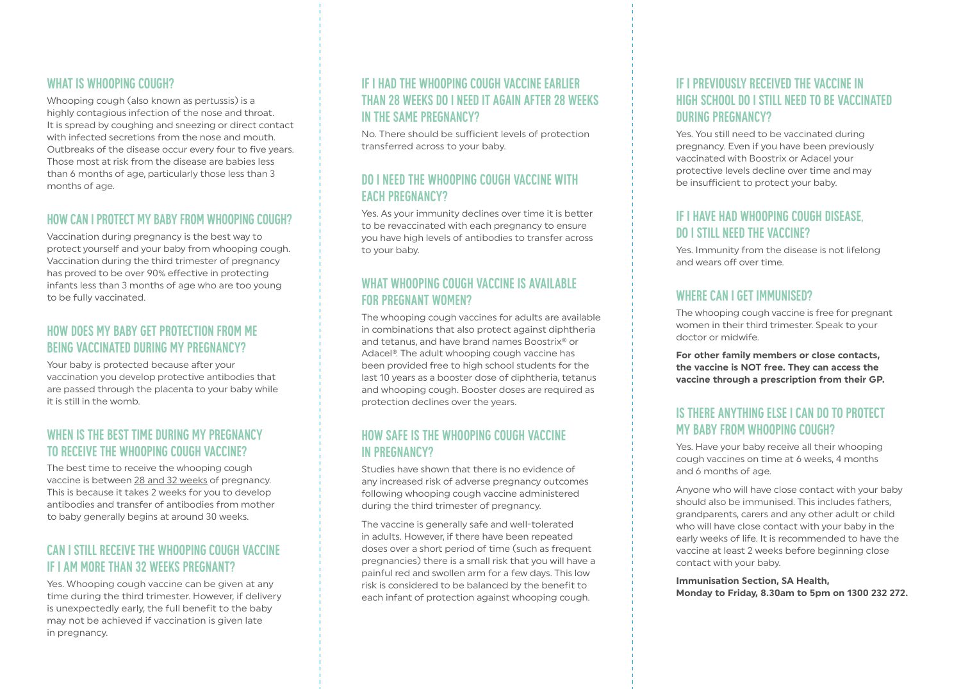#### WHAT IS WHOOPING COUGH?

Whooping cough (also known as pertussis) is a highly contagious infection of the nose and throat. It is spread by coughing and sneezing or direct contact with infected secretions from the nose and mouth. Outbreaks of the disease occur every four to five years. Those most at risk from the disease are babies less than 6 months of age, particularly those less than 3 months of age.

## HOW CAN I PROTECT MY BABY FROM WHOOPING COUGH?

Vaccination during pregnancy is the best way to protect yourself and your baby from whooping cough. Vaccination during the third trimester of pregnancy has proved to be over 90% effective in protecting infants less than 3 months of age who are too young to be fully vaccinated.

#### How does my baby get protection from me being vaccinated during my pregnancy?

Your baby is protected because after your vaccination you develop protective antibodies that are passed through the placenta to your baby while it is still in the womb.

# WHEN IS THE BEST TIME DURING MY PREGNANCY to receive the whooping cough vaccine?

The best time to receive the whooping cough vaccine is between 28 and 32 weeks of pregnancy. This is because it takes 2 weeks for you to develop antibodies and transfer of antibodies from mother to baby generally begins at around 30 weeks.

# Can I still receive the whooping cough vaccine if I am more than 32 weeks pregnant?

Yes. Whooping cough vaccine can be given at any time during the third trimester. However, if delivery is unexpectedly early, the full benefit to the baby may not be achieved if vaccination is given late in pregnancy.

# If I had the whooping cough vaccine earlier than 28 weeks do I need it again after 28 weeks in the same pregnancy?

No. There should be sufficient levels of protection transferred across to your baby.

#### Do I need the whooping cough vaccine with **FACH PREGNANCY?**

Yes. As your immunity declines over time it is better to be revaccinated with each pregnancy to ensure you have high levels of antibodies to transfer across to your baby.

## What whooping cough vaccine is available for pregnant women?

The whooping cough vaccines for adults are available in combinations that also protect against diphtheria and tetanus, and have brand names Boostrix® or Adacel®. The adult whooping cough vaccine has been provided free to high school students for the last 10 years as a booster dose of diphtheria, tetanus and whooping cough. Booster doses are required as protection declines over the years.

## How safe is the whooping cough vaccine in pregnancy?

Studies have shown that there is no evidence of any increased risk of adverse pregnancy outcomes following whooping cough vaccine administered during the third trimester of pregnancy.

The vaccine is generally safe and well-tolerated in adults. However, if there have been repeated doses over a short period of time (such as frequent pregnancies) there is a small risk that you will have a painful red and swollen arm for a few days. This low risk is considered to be balanced by the benefit to each infant of protection against whooping cough.

## If I previously received the vaccine in high school do I still need to be vaccinated during pregnancy?

Yes. You still need to be vaccinated during pregnancy. Even if you have been previously vaccinated with Boostrix or Adacel your protective levels decline over time and may be insufficient to protect your baby.

#### If I have had whooping cough disease, do I still need the vaccine?

Yes. Immunity from the disease is not lifelong and wears off over time.

## WHERE CAN I GET IMMUNISED?

The whooping cough vaccine is free for pregnant women in their third trimester. Speak to your doctor or midwife.

**For other family members or close contacts, the vaccine is NOT free. They can access the vaccine through a prescription from their GP.**

## Is there anything else I can do to protect my baby from whooping cough?

Yes. Have your baby receive all their whooping cough vaccines on time at 6 weeks, 4 months and 6 months of age.

Anyone who will have close contact with your baby should also be immunised. This includes fathers, grandparents, carers and any other adult or child who will have close contact with your baby in the early weeks of life. It is recommended to have the vaccine at least 2 weeks before beginning close contact with your baby.

**Immunisation Section, SA Health, Monday to Friday, 8.30am to 5pm on 1300 232 272.**